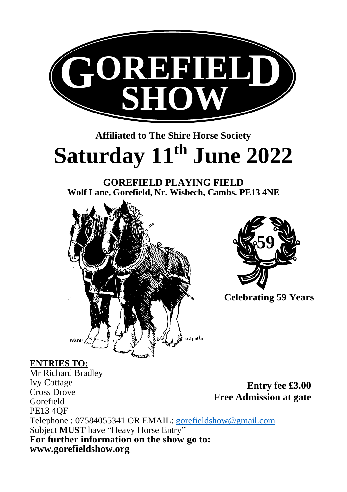

# **Affiliated to The Shire Horse Society Saturday 11th June 2022**

**GOREFIELD PLAYING FIELD Wolf Lane, Gorefield, Nr. Wisbech, Cambs. PE13 4NE**





**Celebrating 59 Years**

#### **ENTRIES TO:**

Mr Richard Bradley Ivy Cottage Cross Drove Gorefield PE13 4QF Telephone : 07584055341 OR EMAIL: [gorefieldshow@gmail.com](mailto:gorefieldshow@gmail.com)  Subject **MUST** have "Heavy Horse Entry" **For further information on the show go to: [www.gorefieldshow.org](http://www.gorefieldshow.org/) Entry fee £3.00 Free Admission at gate**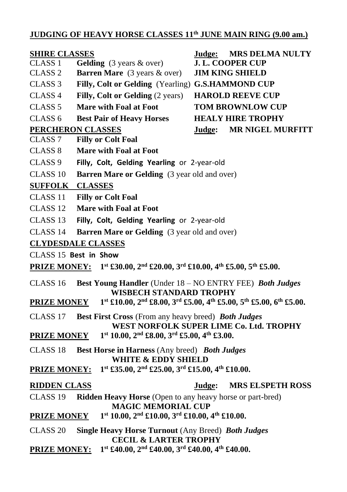## **JUDGING OF HEAVY HORSE CLASSES 11th JUNE MAIN RING (9.00 am.)**

| <b>SHIRE CLASSES</b>                                                                                                                                 |                                                                                             | Judge:                  | <b>MRS DELMA NULTY</b>   |  |  |  |  |
|------------------------------------------------------------------------------------------------------------------------------------------------------|---------------------------------------------------------------------------------------------|-------------------------|--------------------------|--|--|--|--|
| CLASS <sub>1</sub>                                                                                                                                   | Gelding (3 years & over)                                                                    | <b>J. L. COOPER CUP</b> |                          |  |  |  |  |
| CLASS <sub>2</sub>                                                                                                                                   | Barren Mare (3 years & over)                                                                | <b>JIM KING SHIELD</b>  |                          |  |  |  |  |
| CLASS <sub>3</sub>                                                                                                                                   | Filly, Colt or Gelding (Yearling) G.S.HAMMOND CUP                                           |                         |                          |  |  |  |  |
| CLASS <sub>4</sub>                                                                                                                                   | Filly, Colt or Gelding (2 years)                                                            |                         | <b>HAROLD REEVE CUP</b>  |  |  |  |  |
| CLASS <sub>5</sub>                                                                                                                                   | Mare with Foal at Foot                                                                      |                         | <b>TOM BROWNLOW CUP</b>  |  |  |  |  |
| CLASS <sub>6</sub>                                                                                                                                   | <b>Best Pair of Heavy Horses</b>                                                            |                         | <b>HEALY HIRE TROPHY</b> |  |  |  |  |
| PERCHERON CLASSES<br><b>MR NIGEL MURFITT</b><br>Judge:                                                                                               |                                                                                             |                         |                          |  |  |  |  |
| CLASS <sub>7</sub>                                                                                                                                   | <b>Filly or Colt Foal</b>                                                                   |                         |                          |  |  |  |  |
| CLASS <sub>8</sub>                                                                                                                                   | <b>Mare with Foal at Foot</b>                                                               |                         |                          |  |  |  |  |
| CLASS <sub>9</sub>                                                                                                                                   | Filly, Colt, Gelding Yearling or 2-year-old                                                 |                         |                          |  |  |  |  |
| CLASS <sub>10</sub>                                                                                                                                  | <b>Barren Mare or Gelding</b> (3 year old and over)                                         |                         |                          |  |  |  |  |
| <b>SUFFOLK</b>                                                                                                                                       | <b>CLASSES</b>                                                                              |                         |                          |  |  |  |  |
| CLASS 11                                                                                                                                             | <b>Filly or Colt Foal</b>                                                                   |                         |                          |  |  |  |  |
| CLASS <sub>12</sub>                                                                                                                                  | <b>Mare with Foal at Foot</b>                                                               |                         |                          |  |  |  |  |
| CLASS 13                                                                                                                                             | Filly, Colt, Gelding Yearling or 2-year-old                                                 |                         |                          |  |  |  |  |
| CLASS 14                                                                                                                                             | <b>Barren Mare or Gelding</b> (3 year old and over)                                         |                         |                          |  |  |  |  |
| <b>CLYDESDALE CLASSES</b>                                                                                                                            |                                                                                             |                         |                          |  |  |  |  |
| CLASS 15 Best in Show                                                                                                                                |                                                                                             |                         |                          |  |  |  |  |
| 1st £30.00, 2 <sup>nd</sup> £20.00, 3 <sup>rd</sup> £10.00, 4 <sup>th</sup> £5.00, 5 <sup>th</sup> £5.00.<br><b>PRIZE MONEY:</b>                     |                                                                                             |                         |                          |  |  |  |  |
| CLASS 16<br>Best Young Handler (Under 18 – NO ENTRY FEE) Both Judges<br>WISBECH STANDARD TROPHY                                                      |                                                                                             |                         |                          |  |  |  |  |
| 1st £10.00, 2 <sup>nd</sup> £8.00, 3 <sup>rd</sup> £5.00, 4 <sup>th</sup> £5.00, 5 <sup>th</sup> £5.00, 6 <sup>th</sup> £5.00.<br><b>PRIZE MONEY</b> |                                                                                             |                         |                          |  |  |  |  |
| CLASS 17                                                                                                                                             | Best First Cross (From any heavy breed) Both Judges                                         |                         |                          |  |  |  |  |
|                                                                                                                                                      | WEST NORFOLK SUPER LIME Co. Ltd. TROPHY                                                     |                         |                          |  |  |  |  |
| <b>PRIZE MONEY</b>                                                                                                                                   | $1st 10.00$ , $2nd$ £8.00, $3rd$ £5.00, $4th$ £3.00.                                        |                         |                          |  |  |  |  |
| Best Horse in Harness (Any breed) Both Judges<br>CLASS 18<br><b>WHITE &amp; EDDY SHIELD</b>                                                          |                                                                                             |                         |                          |  |  |  |  |
| <b>PRIZE MONEY:</b>                                                                                                                                  | $1st$ £35.00, $2nd$ £25.00, $3rd$ £15.00, $4th$ £10.00.                                     |                         |                          |  |  |  |  |
| <b>RIDDEN CLASS</b>                                                                                                                                  |                                                                                             | Judge:                  | <b>MRS ELSPETH ROSS</b>  |  |  |  |  |
| CLASS <sub>19</sub>                                                                                                                                  | Ridden Heavy Horse (Open to any heavy horse or part-bred)<br><b>MAGIC MEMORIAL CUP</b>      |                         |                          |  |  |  |  |
| $1st 10.00$ , $2nd$ £10.00, $3rd$ £10.00, $4th$ £10.00.<br><b>PRIZE MONEY</b>                                                                        |                                                                                             |                         |                          |  |  |  |  |
| CLASS 20                                                                                                                                             | Single Heavy Horse Turnout (Any Breed) Both Judges                                          |                         |                          |  |  |  |  |
| <b>PRIZE MONEY:</b>                                                                                                                                  | <b>CECIL &amp; LARTER TROPHY</b><br>$1st$ £40.00, $2nd$ £40.00, $3rd$ £40.00, $4th$ £40.00. |                         |                          |  |  |  |  |